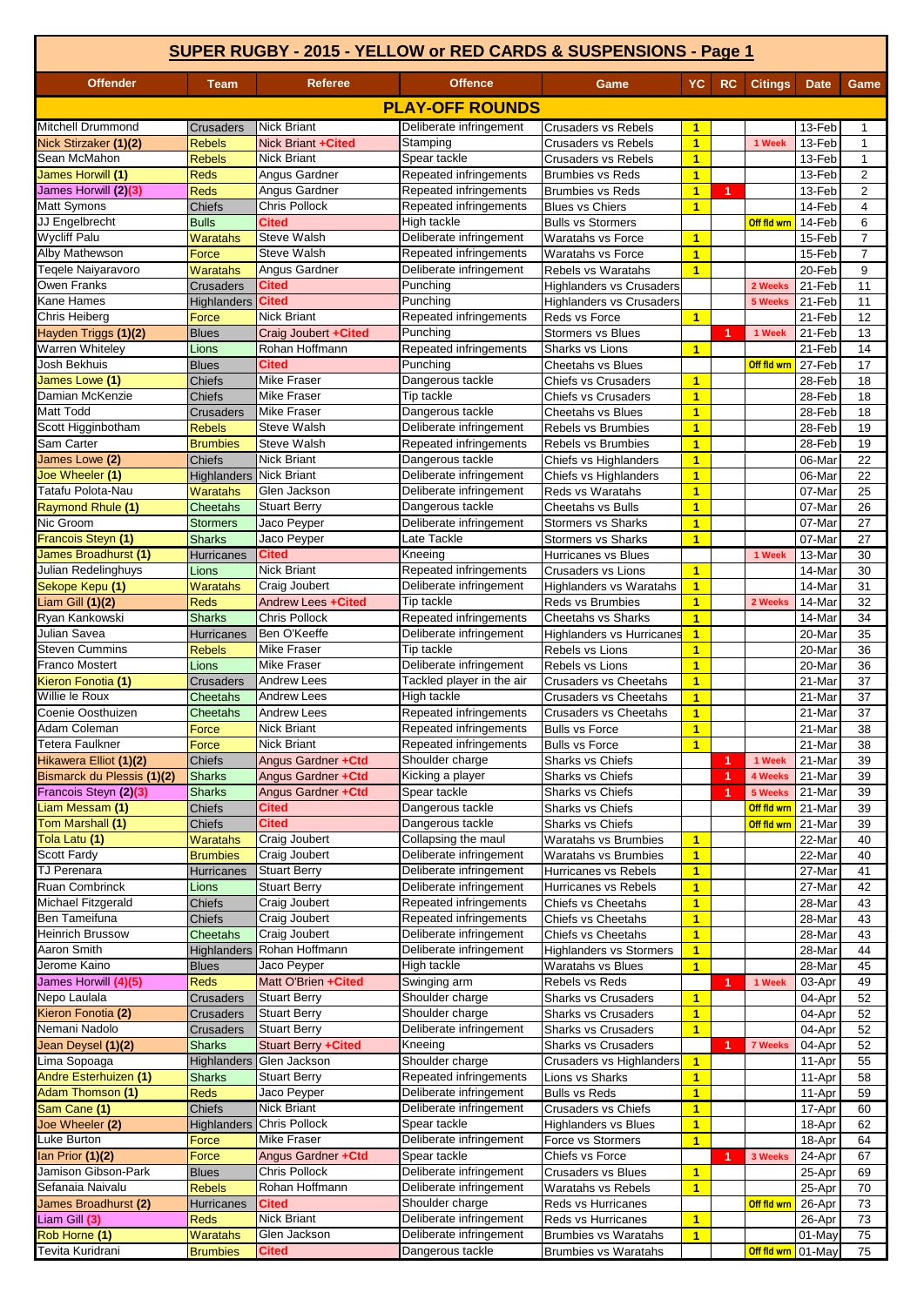| SUPER RUGBY - 2015 - YELLOW or RED CARDS & SUSPENSIONS - Page 1 |                         |                                       |                                                   |                                                  |                              |    |                    |                  |                |
|-----------------------------------------------------------------|-------------------------|---------------------------------------|---------------------------------------------------|--------------------------------------------------|------------------------------|----|--------------------|------------------|----------------|
| <b>Offender</b><br><b>Team</b>                                  |                         | <b>Referee</b>                        | <b>Offence</b>                                    | Game                                             | YC.<br><b>RC</b>             |    | <b>Citings</b>     | <b>Date</b>      | Game           |
|                                                                 |                         |                                       | <b>PLAY-OFF ROUNDS</b>                            |                                                  |                              |    |                    |                  |                |
| <b>Mitchell Drummond</b>                                        | Crusaders               | <b>Nick Briant</b>                    | Deliberate infringement                           | Crusaders vs Rebels                              | $\mathbf{1}$                 |    |                    | 13-Feb           | 1              |
| Nick Stirzaker (1)(2)                                           | <b>Rebels</b>           | Nick Briant +Cited                    | Stamping                                          | <b>Crusaders vs Rebels</b>                       | $\overline{1}$               |    | 1 Week             | 13-Feb           | $\mathbf{1}$   |
| Sean McMahon                                                    | <b>Rebels</b>           | <b>Nick Briant</b>                    | Spear tackle                                      | <b>Crusaders vs Rebels</b>                       | $\overline{1}$               |    |                    | 13-Feb           | $\mathbf{1}$   |
| James Horwill (1)                                               | <b>Reds</b>             | Angus Gardner                         | Repeated infringements                            | <b>Brumbies vs Reds</b>                          | $\overline{1}$               |    |                    | 13-Feb           | $\overline{2}$ |
| James Horwill (2)(3)                                            | <b>Reds</b>             | Angus Gardner                         | Repeated infringements                            | <b>Brumbies vs Reds</b>                          | $\overline{1}$               | 1  |                    | 13-Feb           | $\overline{2}$ |
| Matt Symons                                                     | <b>Chiefs</b>           | <b>Chris Pollock</b>                  | Repeated infringements                            | <b>Blues vs Chiers</b>                           | $\overline{1}$               |    |                    | 14-Feb           | 4              |
| JJ Engelbrecht                                                  | <b>Bulls</b>            | <b>Cited</b>                          | High tackle                                       | <b>Bulls vs Stormers</b>                         |                              |    | <b>Off fld wrn</b> | 14-Feb           | 6              |
| <b>Wycliff Palu</b>                                             | Waratahs                | <b>Steve Walsh</b>                    | Deliberate infringement                           | Waratahs vs Force                                | $\overline{1}$               |    |                    | 15-Feb           | 7              |
| Alby Mathewson                                                  | Force                   | Steve Walsh                           | Repeated infringements                            | Waratahs vs Force                                | $\overline{1}$               |    |                    | 15-Feb           | 7              |
| Tegele Naiyaravoro                                              | Waratahs                | Angus Gardner                         | Deliberate infringement                           | <b>Rebels vs Waratahs</b>                        | $\overline{1}$               |    |                    | 20-Feb           | 9              |
| Owen Franks<br>Kane Hames                                       | <b>Crusaders</b>        | Cited<br><b>Cited</b>                 | Punching<br>Punching                              | <b>Highlanders vs Crusaders</b>                  |                              |    | 2 Weeks            | 21-Feb           | 11             |
| Chris Heiberg                                                   | Highlanders<br>Force    | <b>Nick Briant</b>                    | Repeated infringements                            | <b>Highlanders vs Crusaders</b><br>Reds vs Force | $\overline{1}$               |    | 5 Weeks            | 21-Feb<br>21-Feb | 11<br>12       |
| Hayden Triggs (1)(2)                                            | <b>Blues</b>            | Craig Joubert +Cited                  | Punching                                          | <b>Stormers vs Blues</b>                         |                              | 1  | 1 Week             | 21-Feb           | 13             |
| <b>Warren Whiteley</b>                                          | Lions                   | Rohan Hoffmann                        | Repeated infringements                            | Sharks vs Lions                                  | $\overline{1}$               |    |                    | 21-Feb           | 14             |
| Josh Bekhuis                                                    | <b>Blues</b>            | Cited                                 | Punching                                          | <b>Cheetahs vs Blues</b>                         |                              |    | Off fld wrr        | 27-Feb           | 17             |
| James Lowe (1)                                                  | <b>Chiefs</b>           | <b>Mike Fraser</b>                    | Dangerous tackle                                  | <b>Chiefs vs Crusaders</b>                       | $\mathbf{1}$                 |    |                    | 28-Feb           | 18             |
| Damian McKenzie                                                 | <b>Chiefs</b>           | <b>Mike Fraser</b>                    | Tip tackle                                        | <b>Chiefs vs Crusaders</b>                       | $\overline{1}$               |    |                    | 28-Feb           | 18             |
| <b>Matt Todd</b>                                                | <b>Crusaders</b>        | <b>Mike Fraser</b>                    | Dangerous tackle                                  | <b>Cheetahs vs Blues</b>                         | $\overline{1}$               |    |                    | 28-Feb           | 18             |
| Scott Higginbotham                                              | <b>Rebels</b>           | <b>Steve Walsh</b>                    | Deliberate infringement                           | Rebels vs Brumbies                               | $\overline{1}$               |    |                    | 28-Feb           | 19             |
| Sam Carter                                                      | <b>Brumbies</b>         | <b>Steve Walsh</b>                    | Repeated infringements                            | Rebels vs Brumbies                               | $\overline{1}$               |    |                    | 28-Feb           | 19             |
| James Lowe (2)                                                  | <b>Chiefs</b>           | <b>Nick Briant</b>                    | Dangerous tackle                                  | Chiefs vs Highlanders                            | $\mathbf{1}$                 |    |                    | 06-Mar           | 22             |
| Joe Wheeler (1)                                                 | Highlanders             | <b>Nick Briant</b>                    | Deliberate infringement                           | Chiefs vs Highlanders                            | $\overline{1}$               |    |                    | 06-Mar           | 22             |
| Tatafu Polota-Nau                                               | <b>Waratahs</b>         | Glen Jackson                          | Deliberate infringement                           | Reds vs Waratahs                                 | $\overline{1}$               |    |                    | 07-Mar           | 25             |
| <b>Raymond Rhule (1)</b>                                        | Cheetahs                | <b>Stuart Berry</b>                   | Dangerous tackle                                  | <b>Cheetahs vs Bulls</b>                         | $\overline{1}$               |    |                    | 07-Mar           | 26             |
| Nic Groom                                                       | <b>Stormers</b>         | Jaco Peyper                           | Deliberate infringement                           | <b>Stormers vs Sharks</b>                        | $\overline{1}$               |    |                    | 07-Mar           | 27             |
| Francois Steyn (1)                                              | <b>Sharks</b>           | Jaco Peyper                           | Late Tackle                                       | <b>Stormers vs Sharks</b>                        | $\overline{1}$               |    |                    | 07-Mar           | 27             |
| James Broadhurst (1)                                            | <b>Hurricanes</b>       | <b>Cited</b>                          | Kneeing                                           | <b>Hurricanes vs Blues</b>                       |                              |    | 1 Week             | 13-Mar           | 30             |
| <b>Julian Redelinghuys</b>                                      | Lions                   | <b>Nick Briant</b>                    | Repeated infringements                            | Crusaders vs Lions                               | $\overline{1}$               |    |                    | 14-Mar           | 30             |
| Sekope Kepu (1)                                                 | Waratahs                | Craig Joubert                         | Deliberate infringement                           | <b>Highlanders vs Waratahs</b>                   | $\overline{1}$               |    |                    | 14-Mar           | 31             |
| Liam Gill (1)(2)                                                | <b>Reds</b>             | Andrew Lees +Cited                    | Tip tackle                                        | Reds vs Brumbies                                 | $\mathbf{1}$                 |    | 2 Weeks            | 14-Mar           | 32             |
| Ryan Kankowski                                                  | <b>Sharks</b>           | <b>Chris Pollock</b>                  | Repeated infringements                            | <b>Cheetahs vs Sharks</b>                        | $\overline{1}$               |    |                    | 14-Mar           | 34             |
| Julian Savea                                                    | <b>Hurricanes</b>       | Ben O'Keeffe                          | Deliberate infringement                           | <b>Highlanders vs Hurricanes</b>                 | $\overline{1}$               |    |                    | 20-Mar           | 35             |
| <b>Steven Cummins</b>                                           | <b>Rebels</b>           | Mike Fraser                           | Tip tackle                                        | Rebels vs Lions                                  | $\overline{1}$               |    |                    | 20-Mar           | 36             |
| <b>Franco Mostert</b>                                           | Lions                   | <b>Mike Fraser</b>                    | Deliberate infringement                           | Rebels vs Lions                                  | $\overline{1}$               |    |                    | 20-Mar           | 36             |
| Kieron Fonotia (1)                                              | <b>Crusaders</b>        | <b>Andrew Lees</b>                    | Tackled player in the air                         | <b>Crusaders vs Cheetahs</b>                     | $\overline{1}$               |    |                    | 21-Mar           | 37             |
| Willie le Roux                                                  | <b>Cheetahs</b>         | <b>Andrew Lees</b>                    | High tackle                                       | <b>Crusaders vs Cheetahs</b>                     | $\overline{1}$               |    |                    | 21-Mar           | 37             |
| Coenie Oosthuizen                                               | <b>Cheetahs</b>         | <b>Andrew Lees</b>                    | Repeated infringements                            | Crusaders vs Cheetahs                            | $\overline{1}$               |    |                    | 21-Mar           | 37             |
| Adam Coleman                                                    | Force                   | Nick Briant                           | Repeated infringements                            | <b>Bulls vs Force</b>                            | $\overline{\mathbf{1}}$      |    |                    | 21-Mar           | 38             |
| Tetera Faulkner                                                 | Force                   | Nick Briant                           | Repeated infringements                            | <b>Bulls vs Force</b>                            | $\overline{1}$               |    |                    | 21-Mar           | 38             |
| Hikawera Elliot (1)(2)                                          | Chiefs                  | Angus Gardner +Ctd                    | Shoulder charge                                   | Sharks vs Chiefs                                 |                              | 1  | 1 Week             | 21-Mar           | 39             |
| Bismarck du Plessis (1)(2)                                      | <b>Sharks</b>           | Angus Gardner +Ctd                    | Kicking a player                                  | Sharks vs Chiefs                                 |                              | 1  | 4 Weeks            | 21-Mar           | 39             |
| Francois Steyn (2)(3)                                           | <b>Sharks</b>           | Angus Gardner + Ctd                   | Spear tackle                                      | Sharks vs Chiefs                                 |                              | 1  | 5 Weeks            | 21-Mar           | 39             |
| Liam Messam (1)                                                 | Chiefs                  | Cited                                 | Dangerous tackle                                  | Sharks vs Chiefs                                 |                              |    | Off fld wrn        | 21-Mar           | 39             |
| Tom Marshall (1)                                                | Chiefs                  | Cited                                 | Dangerous tackle                                  | Sharks vs Chiefs                                 |                              |    | Off fld wrn        | 21-Mar           | 39             |
| Tola Latu (1)                                                   | Waratahs                | Craig Joubert                         | Collapsing the maul                               | <b>Waratahs vs Brumbies</b>                      | $\mathbf{1}$                 |    |                    | 22-Mar           | 40             |
| <b>Scott Fardy</b>                                              | <b>Brumbies</b>         | Craig Joubert                         | Deliberate infringement                           | Waratahs vs Brumbies                             | $\blacksquare$               |    |                    | 22-Mar           | 40             |
| <b>TJ Perenara</b>                                              | <b>Hurricanes</b>       | <b>Stuart Berry</b>                   | Deliberate infringement                           | Hurricanes vs Rebels                             | $\mathbf{1}$                 |    |                    | 27-Mar           | 41             |
| <b>Ruan Combrinck</b>                                           | Lions                   | <b>Stuart Berry</b>                   | Deliberate infringement                           | Hurricanes vs Rebels                             | $\mathbf{1}$                 |    |                    | 27-Mar           | 42             |
| Michael Fitzgerald                                              | Chiefs                  | Craig Joubert                         | Repeated infringements                            | Chiefs vs Cheetahs                               | $\overline{1}$               |    |                    | 28-Mar           | 43             |
| Ben Tameifuna<br>Heinrich Brussow                               | Chiefs                  | Craig Joubert<br><b>Craig Joubert</b> | Repeated infringements<br>Deliberate infringement | Chiefs vs Cheetahs<br>Chiefs vs Cheetahs         | $\mathbf{1}$<br>$\mathbf{1}$ |    |                    | 28-Mar           | 43<br>43       |
| Aaron Smith                                                     | Cheetahs<br>Highlanders | Rohan Hoffmann                        | Deliberate infringement                           | <b>Highlanders vs Stormers</b>                   | $\overline{1}$               |    |                    | 28-Mar<br>28-Mar | 44             |
| Jerome Kaino                                                    | <b>Blues</b>            | Jaco Peyper                           | High tackle                                       | Waratahs vs Blues                                | $\overline{1}$               |    |                    | 28-Mar           | 45             |
| James Horwill (4)(5)                                            | <b>Reds</b>             | Matt O'Brien +Cited                   | Swinging arm                                      | Rebels vs Reds                                   |                              | -1 | 1 Week             | 03-Apr           | 49             |
| Nepo Laulala                                                    | <b>Crusaders</b>        | <b>Stuart Berry</b>                   | Shoulder charge                                   | Sharks vs Crusaders                              | $\mathbf{1}$                 |    |                    | 04-Apr           | 52             |
| Kieron Fonotia (2)                                              | Crusaders               | <b>Stuart Berry</b>                   | Shoulder charge                                   | Sharks vs Crusaders                              | $\mathbf{1}$                 |    |                    | 04-Apr           | 52             |
| Nemani Nadolo                                                   | <b>Crusaders</b>        | <b>Stuart Berry</b>                   | Deliberate infringement                           | Sharks vs Crusaders                              | $\mathbf{1}$                 |    |                    | 04-Apr           | 52             |
| Jean Deysel (1)(2)                                              | <b>Sharks</b>           | <b>Stuart Berry +Cited</b>            | Kneeing                                           | Sharks vs Crusaders                              |                              | 1  | 7 Weeks            | 04-Apr           | 52             |
| Lima Sopoaga                                                    | Highlanders             | Glen Jackson                          | Shoulder charge                                   | Crusaders vs Highlanders                         | $\mathbf{1}$                 |    |                    | 11-Apr           | 55             |
| Andre Esterhuizen (1)                                           | <b>Sharks</b>           | <b>Stuart Berry</b>                   | Repeated infringements                            | Lions vs Sharks                                  | $\mathbf{1}$                 |    |                    | 11-Apr           | 58             |
| Adam Thomson (1)                                                | <b>Reds</b>             | Jaco Peyper                           | Deliberate infringement                           | <b>Bulls vs Reds</b>                             | $\overline{1}$               |    |                    | 11-Apr           | 59             |
| Sam Cane (1)                                                    | Chiefs                  | <b>Nick Briant</b>                    | Deliberate infringement                           | <b>Crusaders vs Chiefs</b>                       | $\mathbf{1}$                 |    |                    | 17-Apr           | 60             |
| Joe Wheeler (2)                                                 | Highlanders             | Chris Pollock                         | Spear tackle                                      | <b>Highlanders vs Blues</b>                      | $\mathbf{1}$                 |    |                    | 18-Apr           | 62             |
| Luke Burton                                                     | Force                   | <b>Mike Fraser</b>                    | Deliberate infringement                           | Force vs Stormers                                | $\blacksquare$               |    |                    | 18-Apr           | 64             |
| lan Prior (1)(2)                                                | Force                   | Angus Gardner + Ctd                   | Spear tackle                                      | Chiefs vs Force                                  |                              | -1 | 3 Weeks            | 24-Apr           | 67             |
| Jamison Gibson-Park                                             | <b>Blues</b>            | Chris Pollock                         | Deliberate infringement                           | Crusaders vs Blues                               | $\mathbf{1}$                 |    |                    | 25-Apr           | 69             |
| Sefanaia Naivalu                                                | <b>Rebels</b>           | Rohan Hoffmann                        | Deliberate infringement                           | Waratahs vs Rebels                               | $\mathbf{1}$                 |    |                    | 25-Apr           | 70             |
| James Broadhurst (2)                                            | <b>Hurricanes</b>       | <b>Cited</b>                          | Shoulder charge                                   | Reds vs Hurricanes                               |                              |    | <b>Off fld wrn</b> | 26-Apr           | 73             |
| Liam Gill (3)                                                   | Reds                    | <b>Nick Briant</b>                    | Deliberate infringement                           | Reds vs Hurricanes                               | $\overline{1}$               |    |                    | 26-Apr           | 73             |
| Rob Horne (1)                                                   | Waratahs                | Glen Jackson                          | Deliberate infringement                           | <b>Brumbies vs Waratahs</b>                      | $\blacksquare$               |    |                    | 01-May           | 75             |
| Tevita Kuridrani                                                | <b>Brumbies</b>         | <b>Cited</b>                          | Dangerous tackle                                  | <b>Brumbies vs Waratahs</b>                      |                              |    | Off fld wrn        | $01-May$         | 75             |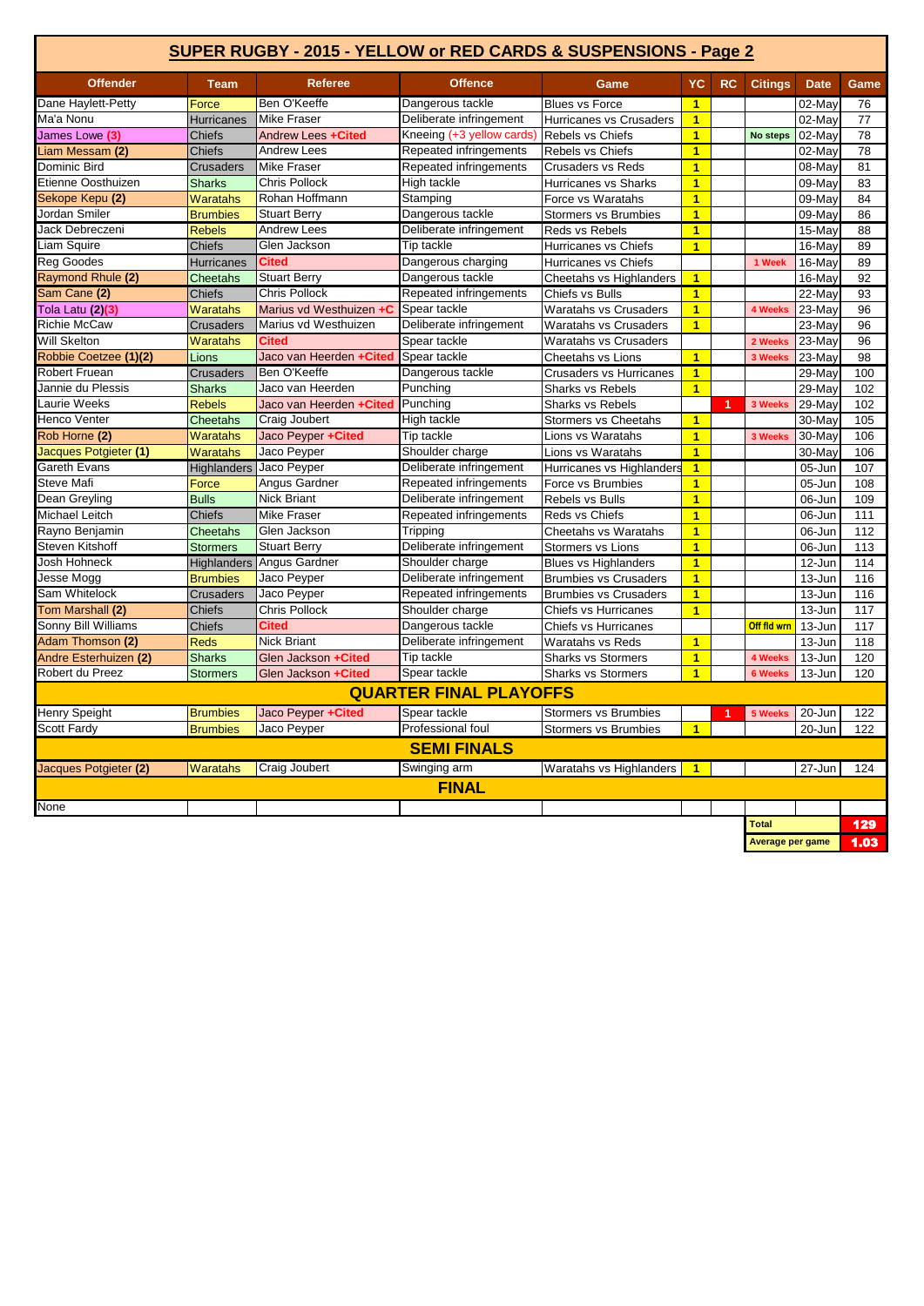| <b>SUPER RUGBY - 2015 - YELLOW or RED CARDS &amp; SUSPENSIONS - Page 2</b> |                    |                         |                                                                      |                                             |                      |             |                  |                      |      |
|----------------------------------------------------------------------------|--------------------|-------------------------|----------------------------------------------------------------------|---------------------------------------------|----------------------|-------------|------------------|----------------------|------|
| <b>Offender</b>                                                            | <b>Team</b>        | <b>Referee</b>          | <b>Offence</b><br><b>YC</b><br><b>RC</b><br>Game                     |                                             | <b>Citings</b>       | <b>Date</b> | Game             |                      |      |
| Dane Haylett-Petty                                                         | Force              | Ben O'Keeffe            | Dangerous tackle<br><b>Blues vs Force</b><br>$\blacktriangleleft$    |                                             |                      |             | 02-May           | 76                   |      |
| Ma'a Nonu                                                                  | <b>Hurricanes</b>  | <b>Mike Fraser</b>      | Deliberate infringement<br>$\overline{1}$<br>Hurricanes vs Crusaders |                                             |                      |             | 02-May           | 77                   |      |
| James Lowe (3)                                                             | <b>Chiefs</b>      | Andrew Lees +Cited      | Kneeing (+3 yellow cards)<br>Rebels vs Chiefs                        |                                             | $\overline{1}$       |             | No steps         | 02-May               | 78   |
| Liam Messam (2)                                                            | <b>Chiefs</b>      | <b>Andrew Lees</b>      | Repeated infringements<br>$\blacktriangleleft$<br>Rebels vs Chiefs   |                                             |                      |             | 02-May           | 78                   |      |
| Dominic Bird                                                               | <b>Crusaders</b>   | <b>Mike Fraser</b>      | Repeated infringements<br><b>Crusaders vs Reds</b><br>$\overline{1}$ |                                             |                      |             |                  | 08-May               | 81   |
| Etienne Oosthuizen                                                         | <b>Sharks</b>      | <b>Chris Pollock</b>    | High tackle                                                          | Hurricanes vs Sharks                        | $\overline{1}$       |             |                  | 09-May               | 83   |
| Sekope Kepu (2)                                                            | <b>Waratahs</b>    | Rohan Hoffmann          | Stamping                                                             | Force vs Waratahs                           | $\overline{1}$       |             |                  | 09-May               | 84   |
| Jordan Smiler                                                              | <b>Brumbies</b>    | <b>Stuart Berry</b>     | Dangerous tackle                                                     | <b>Stormers vs Brumbies</b>                 | $\overline{1}$       |             |                  | 09-May               | 86   |
| Jack Debreczeni                                                            | <b>Rebels</b>      | <b>Andrew Lees</b>      | Deliberate infringement                                              | Reds vs Rebels                              | $\overline{1}$       |             |                  | 15-May               | 88   |
| <b>Liam Squire</b>                                                         | <b>Chiefs</b>      | Glen Jackson            | Tip tackle                                                           | Hurricanes vs Chiefs                        | $\overline{1}$       |             |                  | 16-May               | 89   |
| <b>Reg Goodes</b>                                                          | <b>Hurricanes</b>  | <b>Cited</b>            | Dangerous charging                                                   | Hurricanes vs Chiefs                        |                      |             | 1 Week           | 16-May               | 89   |
| Raymond Rhule (2)                                                          | <b>Cheetahs</b>    | <b>Stuart Berry</b>     | Dangerous tackle                                                     | Cheetahs vs Highlanders                     | $\overline{1}$       |             |                  | 16-May               | 92   |
| Sam Cane (2)                                                               | <b>Chiefs</b>      | <b>Chris Pollock</b>    | Repeated infringements                                               | Chiefs vs Bulls                             | $\blacktriangleleft$ |             |                  | 22-May               | 93   |
| Tola Latu (2)(3)                                                           | <b>Waratahs</b>    | Marius vd Westhuizen +C | Spear tackle                                                         | <b>Waratahs vs Crusaders</b>                | $\overline{1}$       |             | <b>4 Weeks</b>   | 23-May               | 96   |
| <b>Richie McCaw</b>                                                        | <b>Crusaders</b>   | Marius vd Westhuizen    | Deliberate infringement                                              | <b>Waratahs vs Crusaders</b>                | $\overline{1}$       |             |                  | 23-May               | 96   |
| Will Skelton                                                               | <b>Waratahs</b>    | Cited                   | Spear tackle                                                         | <b>Waratahs vs Crusaders</b>                |                      |             | 2 Weeks          | 23-May               | 96   |
| Robbie Coetzee (1)(2)                                                      | Lions              | Jaco van Heerden +Cited | Spear tackle                                                         | Cheetahs vs Lions                           | $\overline{1}$       |             | 3 Weeks          | 23-May               | 98   |
| <b>Robert Fruean</b>                                                       | <b>Crusaders</b>   | Ben O'Keeffe            | Dangerous tackle                                                     | <b>Crusaders vs Hurricanes</b>              | $\mathbf{1}$         |             |                  | 29-May               | 100  |
| Jannie du Plessis                                                          | <b>Sharks</b>      | Jaco van Heerden        | Punching<br>Sharks vs Rebels                                         |                                             | $\overline{1}$       |             |                  | 29-May               | 102  |
| Laurie Weeks                                                               | <b>Rebels</b>      | Jaco van Heerden +Cited | Punching<br><b>Sharks vs Rebels</b>                                  |                                             | -1                   | 3 Weeks     | 29-May           | 102                  |      |
| Henco Venter                                                               | <b>Cheetahs</b>    | Craig Joubert           | High tackle<br><b>Stormers vs Cheetahs</b><br>$\mathbf{1}$           |                                             |                      |             |                  | 30-May               | 105  |
| Rob Horne (2)                                                              | Waratahs           | Jaco Peyper +Cited      | Tip tackle                                                           | $\overline{1}$<br>Lions vs Waratahs         |                      |             | 3 Weeks          | 30-May               | 106  |
| Jacques Potgieter (1)                                                      | Waratahs           | Jaco Peyper             | Shoulder charge                                                      | Lions vs Waratahs                           | $\overline{1}$       |             |                  | $\overline{30}$ -May | 106  |
| Gareth Evans                                                               | <b>Highlanders</b> | Jaco Peyper             | Deliberate infringement                                              | Hurricanes vs Highlanders                   | $\overline{1}$       |             |                  | 05-Jun               | 107  |
| Steve Mafi                                                                 | Force              | Angus Gardner           | Repeated infringements                                               | Force vs Brumbies                           | $\overline{1}$       |             |                  | 05-Jun               | 108  |
| Dean Greyling                                                              | <b>Bulls</b>       | <b>Nick Briant</b>      | Deliberate infringement<br>$\overline{1}$<br>Rebels vs Bulls         |                                             |                      | 06-Jun      | 109              |                      |      |
| Michael Leitch                                                             | <b>Chiefs</b>      | <b>Mike Fraser</b>      | Repeated infringements                                               | Reds vs Chiefs                              | $\overline{1}$       |             |                  | 06-Jun               | 111  |
| Rayno Benjamin                                                             | <b>Cheetahs</b>    | Glen Jackson            | Tripping                                                             | Cheetahs vs Waratahs                        | $\overline{1}$       |             |                  | 06-Jun               | 112  |
| Steven Kitshoff                                                            | <b>Stormers</b>    | <b>Stuart Berry</b>     | Deliberate infringement                                              | <b>Stormers vs Lions</b>                    | $\blacktriangleleft$ |             |                  | 06-Jun               | 113  |
| Josh Hohneck                                                               | <b>Highlanders</b> | Angus Gardner           | Shoulder charge                                                      | <b>Blues vs Highlanders</b>                 | $\overline{1}$       |             |                  | 12-Jun               | 114  |
| Jesse Mogg                                                                 | <b>Brumbies</b>    | Jaco Peyper             | Deliberate infringement                                              | <b>Brumbies vs Crusaders</b>                | $\overline{1}$       |             |                  | 13-Jun               | 116  |
| Sam Whitelock                                                              | <b>Crusaders</b>   | Jaco Peyper             | Repeated infringements                                               | <b>Brumbies vs Crusaders</b>                | $\overline{1}$       |             |                  | 13-Jun               | 116  |
| Tom Marshall (2)                                                           | <b>Chiefs</b>      | Chris Pollock           | Shoulder charge                                                      | Chiefs vs Hurricanes                        | $\mathbf{1}$         |             |                  | 13-Jun               | 117  |
| Sonny Bill Williams                                                        | <b>Chiefs</b>      | <b>Cited</b>            | Dangerous tackle                                                     | Chiefs vs Hurricanes                        |                      |             | Off fld wrn      | 13-Jun               | 117  |
| Adam Thomson (2)                                                           | <b>Reds</b>        | <b>Nick Briant</b>      | Deliberate infringement                                              | Waratahs vs Reds                            | $\overline{1}$       |             |                  | 13-Jun               | 118  |
| Andre Esterhuizen (2)                                                      | <b>Sharks</b>      | Glen Jackson +Cited     | Tip tackle                                                           | <b>Sharks vs Stormers</b><br>$\overline{1}$ |                      | 4 Weeks     | 13-Jun           | 120                  |      |
| Robert du Preez                                                            | <b>Stormers</b>    | Glen Jackson +Cited     | Spear tackle                                                         | <b>Sharks vs Stormers</b>                   | $\overline{1}$       |             | <b>6 Weeks</b>   | 13-Jun               | 120  |
|                                                                            |                    |                         |                                                                      |                                             |                      |             |                  |                      |      |
|                                                                            |                    |                         | <b>QUARTER FINAL PLAYOFFS</b>                                        |                                             |                      |             |                  |                      |      |
| <b>Henry Speight</b>                                                       | <b>Brumbies</b>    | Jaco Peyper + Cited     | Spear tackle                                                         | <b>Stormers vs Brumbies</b>                 |                      |             | 5 Weeks          | 20-Jun               | 122  |
| Scott Fardy                                                                | <b>Brumbies</b>    | Jaco Peyper             | Professional foul                                                    | Stormers vs Brumbies                        | $\mathbf{1}$         |             |                  | 20-Jun               | 122  |
| <b>SEMI FINALS</b>                                                         |                    |                         |                                                                      |                                             |                      |             |                  |                      |      |
| Jacques Potgieter (2)                                                      | <b>Waratahs</b>    | Craig Joubert           | Swinging arm                                                         | Waratahs vs Highlanders                     | $\overline{1}$       |             |                  | 27-Jun               | 124  |
|                                                                            |                    |                         | <b>FINAL</b>                                                         |                                             |                      |             |                  |                      |      |
| None                                                                       |                    |                         |                                                                      |                                             |                      |             |                  |                      |      |
|                                                                            |                    |                         |                                                                      |                                             |                      |             | <b>Total</b>     |                      | 129  |
|                                                                            |                    |                         |                                                                      |                                             |                      |             | Average per game |                      | 1.03 |